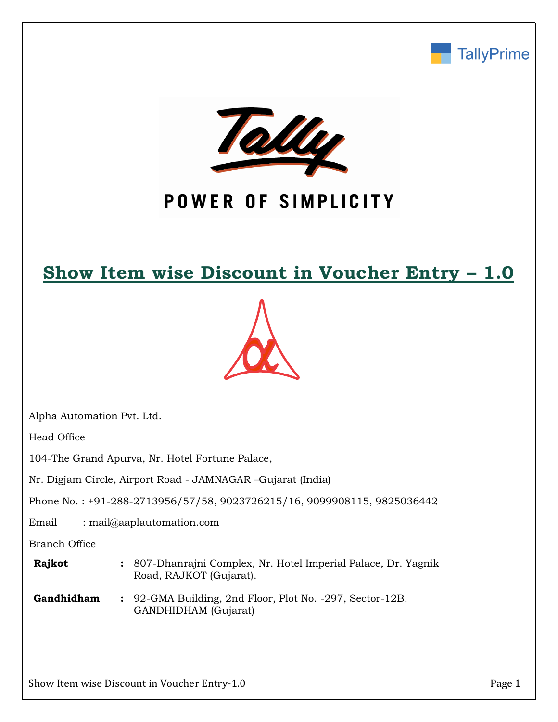



# POWER OF SIMPLICITY

## **Show Item wise Discount in Voucher Entry – 1.0**



Alpha Automation Pvt. Ltd.

Head Office

104-The Grand Apurva, Nr. Hotel Fortune Palace,

Nr. Digjam Circle, Airport Road - JAMNAGAR –Gujarat (India)

Phone No. : +91-288-2713956/57/58, 9023726215/16, 9099908115, 9825036442

Email : mail@aaplautomation.com

Branch Office

| Rajkot | : 807-Dhanrajni Complex, Nr. Hotel Imperial Palace, Dr. Yagnik |
|--------|----------------------------------------------------------------|
|        | Road, RAJKOT (Gujarat).                                        |

**Gandhidham :** 92-GMA Building, 2nd Floor, Plot No. -297, Sector-12B. GANDHIDHAM (Gujarat)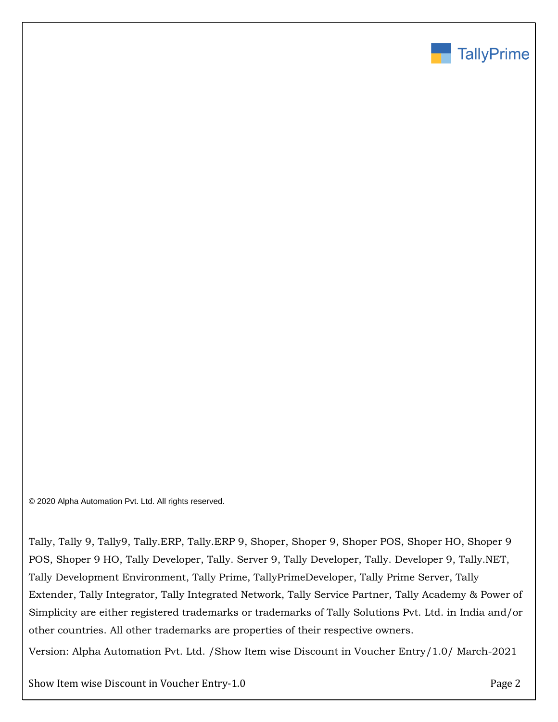

© 2020 Alpha Automation Pvt. Ltd. All rights reserved.

Tally, Tally 9, Tally9, Tally.ERP, Tally.ERP 9, Shoper, Shoper 9, Shoper POS, Shoper HO, Shoper 9 POS, Shoper 9 HO, Tally Developer, Tally. Server 9, Tally Developer, Tally. Developer 9, Tally.NET, Tally Development Environment, Tally Prime, TallyPrimeDeveloper, Tally Prime Server, Tally Extender, Tally Integrator, Tally Integrated Network, Tally Service Partner, Tally Academy & Power of Simplicity are either registered trademarks or trademarks of Tally Solutions Pvt. Ltd. in India and/or other countries. All other trademarks are properties of their respective owners.

Version: Alpha Automation Pvt. Ltd. /Show Item wise Discount in Voucher Entry/1.0/ March-2021

Show Item wise Discount in Voucher Entry-1.0 Page 2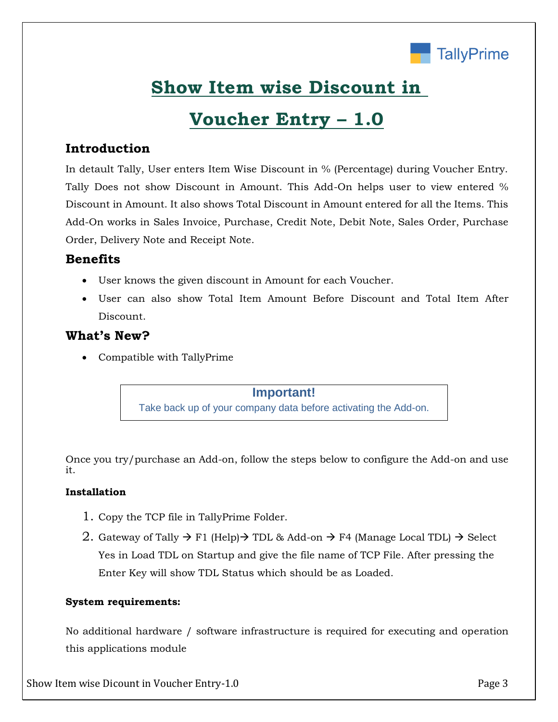

## **Show Item wise Discount in**

## **Voucher Entry – 1.0**

## **Introduction**

In detault Tally, User enters Item Wise Discount in % (Percentage) during Voucher Entry. Tally Does not show Discount in Amount. This Add-On helps user to view entered % Discount in Amount. It also shows Total Discount in Amount entered for all the Items. This Add-On works in Sales Invoice, Purchase, Credit Note, Debit Note, Sales Order, Purchase Order, Delivery Note and Receipt Note.

### **Benefits**

- User knows the given discount in Amount for each Voucher.
- User can also show Total Item Amount Before Discount and Total Item After Discount.

### **What's New?**

Compatible with TallyPrime

**Important!** Take back up of your company data before activating the Add-on.

Once you try/purchase an Add-on, follow the steps below to configure the Add-on and use it.

### **Installation**

- 1. Copy the TCP file in TallyPrime Folder.
- 2. Gateway of Tally  $\rightarrow$  F1 (Help)  $\rightarrow$  TDL & Add-on  $\rightarrow$  F4 (Manage Local TDL)  $\rightarrow$  Select Yes in Load TDL on Startup and give the file name of TCP File. After pressing the Enter Key will show TDL Status which should be as Loaded.

#### **System requirements:**

No additional hardware / software infrastructure is required for executing and operation this applications module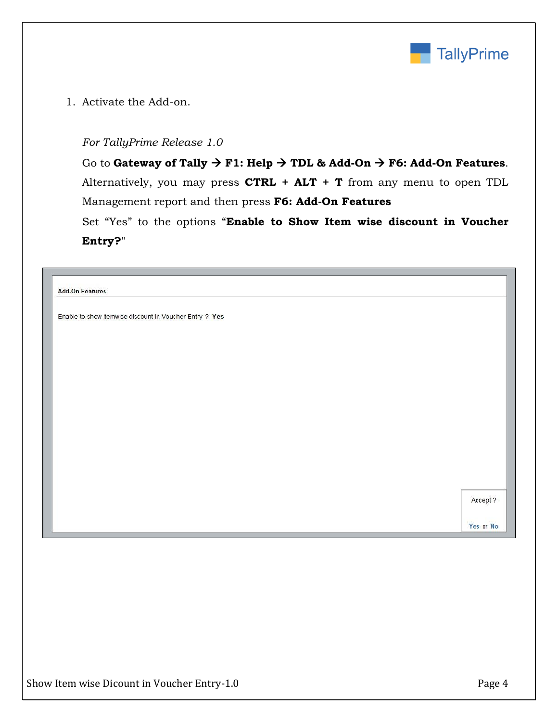

1. Activate the Add-on.

#### *For TallyPrime Release 1.0*

Go to **Gateway of Tally**  $\rightarrow$  **F1: Help**  $\rightarrow$  **TDL & Add-On**  $\rightarrow$  **F6: Add-On Features.** Alternatively, you may press **CTRL + ALT + T** from any menu to open TDL Management report and then press **F6: Add-On Features**

Set "Yes" to the options "**Enable to Show Item wise discount in Voucher Entry?**"

| <b>Add-On Features</b>                                  |          |
|---------------------------------------------------------|----------|
| Enable to show itemwise discount in Voucher Entry ? Yes |          |
|                                                         |          |
|                                                         |          |
|                                                         |          |
|                                                         |          |
|                                                         |          |
|                                                         |          |
|                                                         |          |
|                                                         |          |
|                                                         |          |
|                                                         |          |
|                                                         | Accept ? |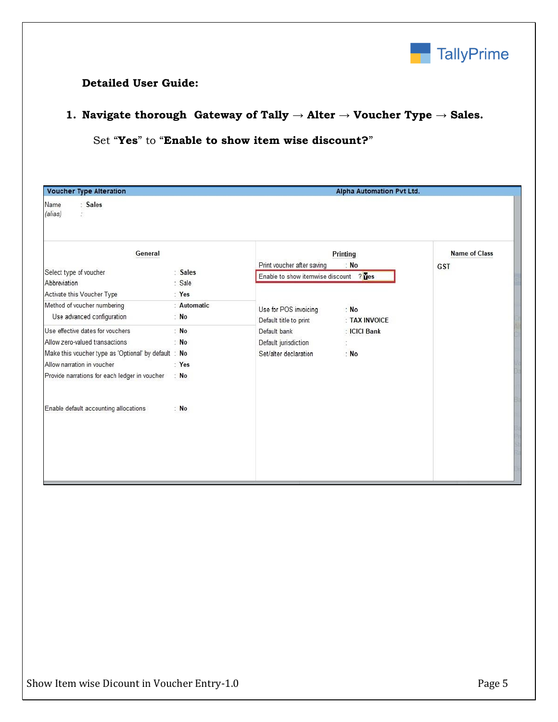

### **Detailed User Guide:**

## **1. Navigate thorough Gateway of Tally → Alter → Voucher Type → Sales.**

## Set "**Yes**" to "**Enable to show item wise discount?**"

| <b>Voucher Type Alteration</b><br>Name<br>: Sales    |             | <b>Alpha Automation Pvt Ltd.</b>       |                  |                      |  |
|------------------------------------------------------|-------------|----------------------------------------|------------------|----------------------|--|
| (alias)<br>Ś                                         |             |                                        |                  |                      |  |
| General                                              |             | Print voucher after saving             | Printing<br>: No | <b>Name of Class</b> |  |
| Select type of voucher                               | : Sales     | Enable to show itemwise discount ? Ves |                  | GST                  |  |
| Abbreviation                                         | : Sale      |                                        |                  |                      |  |
| Activate this Voucher Type                           | : Yes       |                                        |                  |                      |  |
| Method of voucher numbering                          | : Automatic | Use for POS invoicing                  | : No             |                      |  |
| Use advanced configuration                           | : No        | Default title to print                 | : TAX INVOICE    |                      |  |
| Use effective dates for vouchers                     | : No        | Default bank                           | : ICICI Bank     |                      |  |
| Allow zero-valued transactions                       | : $No$      | Default jurisdiction                   | t                |                      |  |
| Make this voucher type as 'Optional' by default : No |             | Set/alter declaration                  | : No             |                      |  |
| Allow narration in voucher                           | : Yes       |                                        |                  |                      |  |
| Provide narrations for each ledger in voucher        | : No        |                                        |                  |                      |  |
|                                                      |             |                                        |                  |                      |  |
| Enable default accounting allocations                | : No        |                                        |                  |                      |  |
|                                                      |             |                                        |                  |                      |  |
|                                                      |             |                                        |                  |                      |  |
|                                                      |             |                                        |                  |                      |  |
|                                                      |             |                                        |                  |                      |  |
|                                                      |             |                                        |                  |                      |  |
|                                                      |             |                                        |                  |                      |  |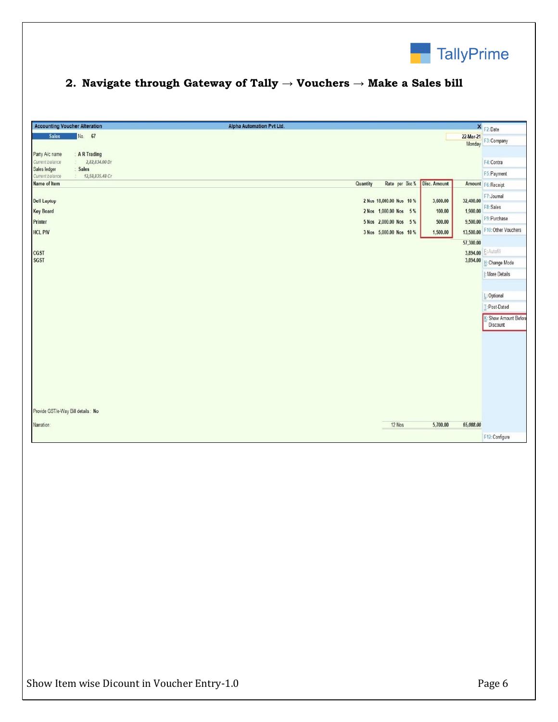

## **2. Navigate through Gateway of Tally → Vouchers → Make a Sales bill**

| <b>Accounting Voucher Alteration</b>                        | Alpha Automation Pvt Ltd.                         | × F2: Date                    |
|-------------------------------------------------------------|---------------------------------------------------|-------------------------------|
| No. 67<br><b>Sales</b>                                      | 22-Mar-21                                         | Monday F3: Company            |
| : A R Trading<br>Party A/c name                             |                                                   |                               |
| Current balance<br>2,82,834.00 Dr                           |                                                   | F4: Contra                    |
| Sales ledger<br>Sales<br>12,58,835.48 Cr<br>Current balance |                                                   | F5: Payment                   |
| Name of Item                                                | Disc. Amount<br>Rate per Disc %<br>Quantity       | Amount F6: Receipt            |
|                                                             |                                                   | F7: Journal                   |
| <b>Dell Laptop</b>                                          | 2 Nos 18,000.00 Nos 10 %<br>32,400.00<br>3,600.00 |                               |
| <b>Key Board</b>                                            | 1,900.00<br>100.00<br>2 Nos 1,000.00 Nos 5%       | F8: Sales                     |
| Printer                                                     | 5 Nos 2,000.00 Nos 5%<br>500.00                   | 9,500.00 F9: Purchase         |
| <b>HCL PIV</b>                                              | 3 Nos 5,000.00 Nos 10 %<br>1,500.00               | 13,500.00 F10: Other Vouchers |
|                                                             | 57,300.00                                         |                               |
| <b>CGST</b>                                                 |                                                   | 3,894.00 E: Autofill          |
| <b>SGST</b>                                                 |                                                   | 3,894.00   H: Change Mode     |
|                                                             |                                                   |                               |
|                                                             |                                                   | I: More Details               |
|                                                             |                                                   |                               |
|                                                             |                                                   | L: Optional                   |
|                                                             |                                                   | T: Post-Dated                 |
|                                                             |                                                   | <b>Show Amount Before</b>     |
|                                                             |                                                   | Discount                      |
|                                                             |                                                   |                               |
|                                                             |                                                   |                               |
|                                                             |                                                   |                               |
|                                                             |                                                   |                               |
|                                                             |                                                   |                               |
|                                                             |                                                   |                               |
|                                                             |                                                   |                               |
|                                                             |                                                   |                               |
| Provide GST/e-Way Bill details: No                          |                                                   |                               |
|                                                             |                                                   |                               |
| Narration:                                                  | 12 Nos<br>5,700.00<br>65,088.00                   |                               |
|                                                             |                                                   | F12: Configure                |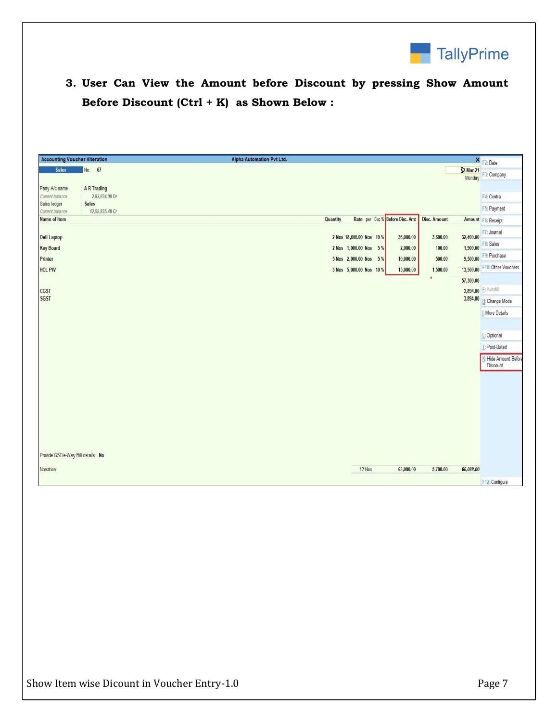

## **3. User Can View the Amount before Discount by pressing Show Amount Before Discount (Ctrl + K) as Shown Below :**

| <b>Accounting Voucher Alteration</b>                       | Alpha Automation Pvt Ltd.                                    |                     | × F2: Date            |
|------------------------------------------------------------|--------------------------------------------------------------|---------------------|-----------------------|
| No. 67<br><b>Sales</b>                                     |                                                              | 22-Mar-21<br>Monday | F3: Company           |
| A R Trading<br>Party A/c name                              |                                                              |                     |                       |
| Current balance<br>2,82,834.00 Dr<br>Sales ledger<br>Sales |                                                              |                     | F4: Contra            |
| 12,58,835.48 Cr<br>Current balance                         |                                                              |                     | F5: Payment           |
| Name of Item                                               | Rate per Disc % Before Disc. Amt<br>Disc. Amount<br>Quantity |                     | Amount F6: Receipt    |
|                                                            |                                                              |                     | F7: Journal           |
| <b>Dell Laptop</b>                                         | 2 Nos 18,000.00 Nos 10 %<br>36,000.00<br>3,600.00            | 32,400.00           | F8: Sales             |
| <b>Key Board</b>                                           | 2 Nos 1,000.00 Nos 5%<br>2,000.00<br>100.00                  | 1,900.00            | F9: Purchase          |
| Printer                                                    | 5 Nos 2,000.00 Nos 5%<br>500.00<br>10,000.00                 | 9,500.00            |                       |
| <b>HCL PIV</b>                                             | 3 Nos 5,000.00 Nos 10 %<br>15,000.00<br>1,500.00             | 13,500.00           | F10: Other Vouchers   |
|                                                            | ٠                                                            | 57,300.00           |                       |
| CGST                                                       |                                                              |                     | 3,894.00 E: Autofill  |
| <b>SGST</b>                                                |                                                              | 3,894.00            | H: Change Mode        |
|                                                            |                                                              |                     | I: More Details       |
|                                                            |                                                              |                     |                       |
|                                                            |                                                              |                     | L: Optional           |
|                                                            |                                                              |                     | T: Post-Dated         |
|                                                            |                                                              |                     | K: Hide Amount Before |
|                                                            |                                                              |                     | Discount              |
|                                                            |                                                              |                     |                       |
|                                                            |                                                              |                     |                       |
|                                                            |                                                              |                     |                       |
|                                                            |                                                              |                     |                       |
|                                                            |                                                              |                     |                       |
|                                                            |                                                              |                     |                       |
|                                                            |                                                              |                     |                       |
|                                                            |                                                              |                     |                       |
| Provide GST/e-Way Bill details: No                         |                                                              |                     |                       |
| Narration:                                                 | 12 Nos<br>63,000.00<br>5,700.00                              | 65,088.00           |                       |
|                                                            |                                                              |                     |                       |
|                                                            |                                                              |                     | F12: Configure        |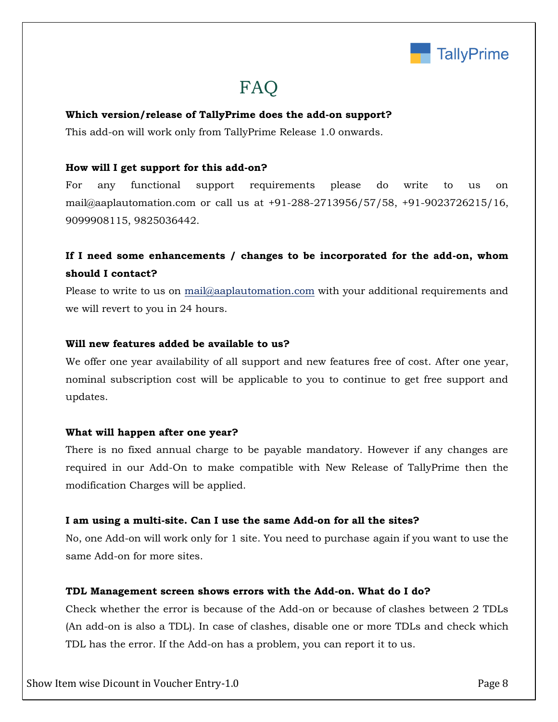

## FAQ

#### **Which version/release of TallyPrime does the add-on support?**

This add-on will work only from TallyPrime Release 1.0 onwards.

#### **How will I get support for this add-on?**

For any functional support requirements please do write to us on mail@aaplautomation.com or call us at +91-288-2713956/57/58, +91-9023726215/16, 9099908115, 9825036442.

## **If I need some enhancements / changes to be incorporated for the add-on, whom should I contact?**

Please to write to us on mail@aaplautomation.com with your additional requirements and we will revert to you in 24 hours.

#### **Will new features added be available to us?**

We offer one year availability of all support and new features free of cost. After one year, nominal subscription cost will be applicable to you to continue to get free support and updates.

#### **What will happen after one year?**

There is no fixed annual charge to be payable mandatory. However if any changes are required in our Add-On to make compatible with New Release of TallyPrime then the modification Charges will be applied.

#### **I am using a multi-site. Can I use the same Add-on for all the sites?**

No, one Add-on will work only for 1 site. You need to purchase again if you want to use the same Add-on for more sites.

#### **TDL Management screen shows errors with the Add-on. What do I do?**

Check whether the error is because of the Add-on or because of clashes between 2 TDLs (An add-on is also a TDL). In case of clashes, disable one or more TDLs and check which TDL has the error. If the Add-on has a problem, you can report it to us.